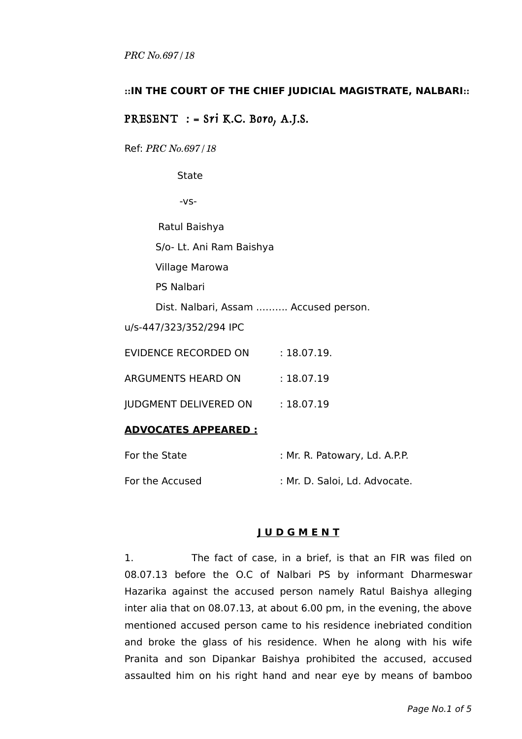### **::IN THE COURT OF THE CHIEF JUDICIAL MAGISTRATE, NALBARI::**

### PRESENT  $:$  = Sri K.C. Boro, A.J.S.

Ref: *PRC No.697/18*

**State** 

-vs-

Ratul Baishya

S/o- Lt. Ani Ram Baishya

Village Marowa

PS Nalbari

Dist. Nalbari, Assam ..…….. Accused person.

u/s-447/323/352/294 IPC

| EVIDENCE RECORDED ON         | : 18.07.19. |
|------------------------------|-------------|
| ARGUMENTS HEARD ON           | : 18.07.19  |
| <b>JUDGMENT DELIVERED ON</b> | : 18.07.19  |

# **ADVOCATES APPEARED :**

| For the State   | : Mr. R. Patowary, Ld. A.P.P. |
|-----------------|-------------------------------|
| For the Accused | : Mr. D. Saloi, Ld. Advocate. |

### **J U D G M E N T**

1. The fact of case, in a brief, is that an FIR was filed on 08.07.13 before the O.C of Nalbari PS by informant Dharmeswar Hazarika against the accused person namely Ratul Baishya alleging inter alia that on 08.07.13, at about 6.00 pm, in the evening, the above mentioned accused person came to his residence inebriated condition and broke the glass of his residence. When he along with his wife Pranita and son Dipankar Baishya prohibited the accused, accused assaulted him on his right hand and near eye by means of bamboo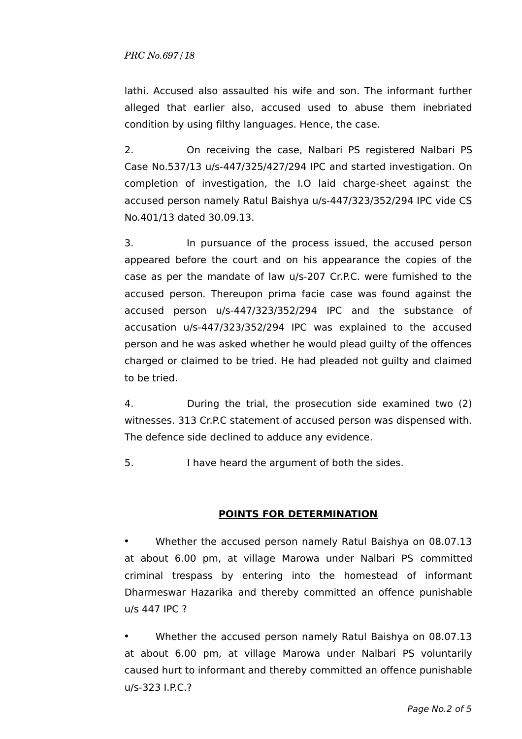lathi. Accused also assaulted his wife and son. The informant further alleged that earlier also, accused used to abuse them inebriated condition by using filthy languages. Hence, the case.

2. On receiving the case, Nalbari PS registered Nalbari PS Case No.537/13 u/s-447/325/427/294 IPC and started investigation. On completion of investigation, the I.O laid charge-sheet against the accused person namely Ratul Baishya u/s-447/323/352/294 IPC vide CS No.401/13 dated 30.09.13.

3. In pursuance of the process issued, the accused person appeared before the court and on his appearance the copies of the case as per the mandate of law u/s-207 Cr.P.C. were furnished to the accused person. Thereupon prima facie case was found against the accused person u/s-447/323/352/294 IPC and the substance of accusation u/s-447/323/352/294 IPC was explained to the accused person and he was asked whether he would plead guilty of the offences charged or claimed to be tried. He had pleaded not guilty and claimed to be tried.

4. During the trial, the prosecution side examined two (2) witnesses. 313 Cr.P.C statement of accused person was dispensed with. The defence side declined to adduce any evidence.

5. I have heard the argument of both the sides.

### **POINTS FOR DETERMINATION**

• Whether the accused person namely Ratul Baishya on 08.07.13 at about 6.00 pm, at village Marowa under Nalbari PS committed criminal trespass by entering into the homestead of informant Dharmeswar Hazarika and thereby committed an offence punishable u/s 447 IPC ?

• Whether the accused person namely Ratul Baishya on 08.07.13 at about 6.00 pm, at village Marowa under Nalbari PS voluntarily caused hurt to informant and thereby committed an offence punishable u/s-323 I.P.C.?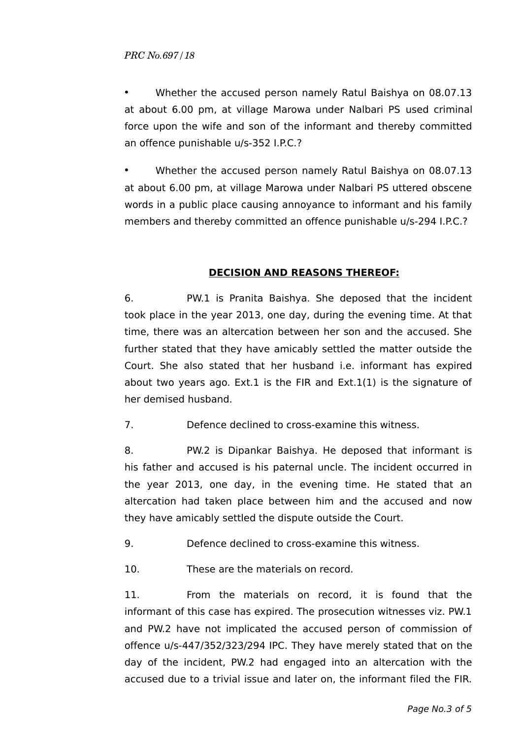• Whether the accused person namely Ratul Baishya on 08.07.13 at about 6.00 pm, at village Marowa under Nalbari PS used criminal force upon the wife and son of the informant and thereby committed an offence punishable u/s-352 I.P.C.?

• Whether the accused person namely Ratul Baishya on 08.07.13 at about 6.00 pm, at village Marowa under Nalbari PS uttered obscene words in a public place causing annoyance to informant and his family members and thereby committed an offence punishable u/s-294 I.P.C.?

### **DECISION AND REASONS THEREOF:**

6. PW.1 is Pranita Baishya. She deposed that the incident took place in the year 2013, one day, during the evening time. At that time, there was an altercation between her son and the accused. She further stated that they have amicably settled the matter outside the Court. She also stated that her husband i.e. informant has expired about two years ago. Ext.1 is the FIR and  $Ext.1(1)$  is the signature of her demised husband.

7. Defence declined to cross-examine this witness.

8. PW.2 is Dipankar Baishya. He deposed that informant is his father and accused is his paternal uncle. The incident occurred in the year 2013, one day, in the evening time. He stated that an altercation had taken place between him and the accused and now they have amicably settled the dispute outside the Court.

9. Defence declined to cross-examine this witness.

10. These are the materials on record.

11. From the materials on record, it is found that the informant of this case has expired. The prosecution witnesses viz. PW.1 and PW.2 have not implicated the accused person of commission of offence u/s-447/352/323/294 IPC. They have merely stated that on the day of the incident, PW.2 had engaged into an altercation with the accused due to a trivial issue and later on, the informant filed the FIR.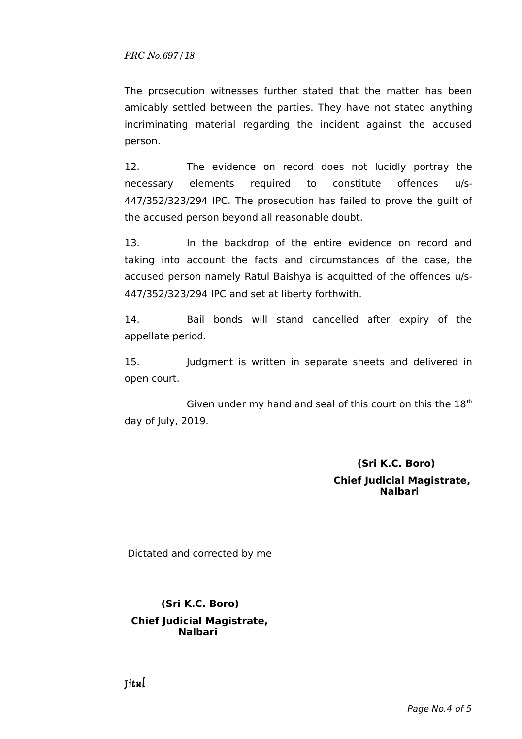The prosecution witnesses further stated that the matter has been amicably settled between the parties. They have not stated anything incriminating material regarding the incident against the accused person.

12. The evidence on record does not lucidly portray the necessary elements required to constitute offences u/s-447/352/323/294 IPC. The prosecution has failed to prove the guilt of the accused person beyond all reasonable doubt.

13. In the backdrop of the entire evidence on record and taking into account the facts and circumstances of the case, the accused person namely Ratul Baishya is acquitted of the offences u/s-447/352/323/294 IPC and set at liberty forthwith.

14. Bail bonds will stand cancelled after expiry of the appellate period.

15. Judgment is written in separate sheets and delivered in open court.

Given under my hand and seal of this court on this the  $18<sup>th</sup>$ day of July, 2019.

> **(Sri K.C. Boro) Chief Judicial Magistrate, Nalbari**

Dictated and corrected by me

 **(Sri K.C. Boro) Chief Judicial Magistrate, Nalbari** 

Jitul